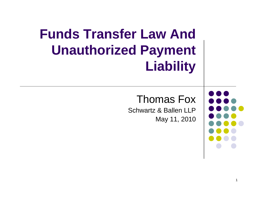## **Funds Transfer Law And Unauthorized Payment Liability**

### Thomas Fox

Schwartz & Ballen LLP May 11, 2010

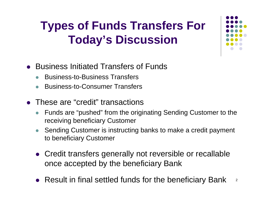### **Types of Funds Transfers For Today's Discussion**

- Business Initiated Transfers of Funds
	- zBusiness-to-Business Transfers
	- zBusiness-to-Consumer Transfers
- These are "credit" transactions
	- z Funds are "pushed" from the originating Sending Customer to the receiving beneficiary Customer
	- z Sending Customer is instructing banks to make a credit payment to beneficiary Customer
	- Credit transfers generally not reversible or recallable once accepted by the beneficiary Bank
	- Result in final settled funds for the beneficiary Bank 2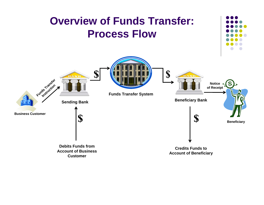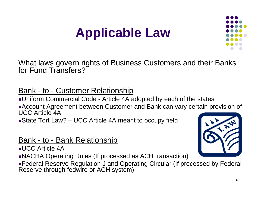# **Applicable Law**



What laws govern rights of Business Customers and their Banks for Fund Transfers?

### Bank - to - Customer Relationship

• Uniform Commercial Code - Article 4A adopted by each of the states • Account Agreement between Customer and Bank can vary certain provision of UCC Article 4A

• State Tort Law?  $-$  UCC Article 4A meant to occupy field

### Bank - to - Bank Relationship

 $\bullet$ UCC Article 4A

• NACHA Operating Rules (If processed as ACH transaction)



**• Federal Reserve Regulation J and Operating Circular (If processed by Federal** Reserve through fedwire or ACH system)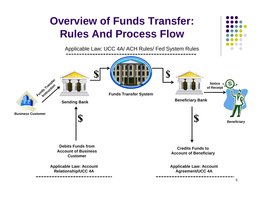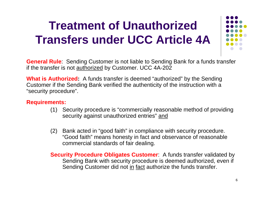### **Treatment of Unauthorized Transfers under UCC Article 4A**



**General Rule**: Sending Customer is not liable to Sending Bank for a funds transfer if the transfer is not <u>authorized</u> by Customer. UCC 4A-202

**What is Authorized:** A funds transfer is deemed "authorized" by the Sending Customer if the Sending Bank verified the authenticity of the instruction with a "security procedure".

#### **Requirements:**

- (1) Security procedure is "commercially reasonable method of providing security against unauthorized entries" and
- (2) Bank acted in "good faith" in compliance with security procedure. "Good faith" means honesty in fact and observance of reasonable commercial standards of fair dealing.

**Security Procedure Obligates Customer**: A funds transfer validated by Sending Bank with security procedure is deemed authorized, even if Sending Customer did not in fact authorize the funds transfer.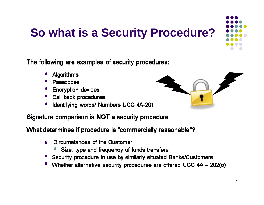## **So what is a Security Procedure?**

The following are examples of security procedures:

- Algorithms
- Passcodes
- **Encryption devices**
- Call back procedures
- Identifying words/ Numbers UCC 4A-201

#### Signature comparison is NOT a security procedure

What determines if procedure is "commercially reasonable"?

- Circumstances of the Customer
	- Size, type and frequency of funds transfers
- Security procedure in use by similarly situated Banks/Customers
- Whether alternative security procedures are offered UCC 4A 202(c)

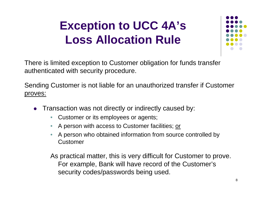### **Exception to UCC 4A's Loss Allocation Rule**



There is limited exception to Customer obligation for funds transfer authenticated with security procedure.

Sending Customer is not liable for an unauthorized transfer if Customer proves:

- O Transaction was not directly or indirectly caused by:
	- •Customer or its employees or agents;
	- •A person with access to Customer facilities; or
	- • A person who obtained information from source controlled by Customer

As practical matter, this is very difficult for Customer to prove. For example, Bank will have record of the Customer's security codes/passwords being used.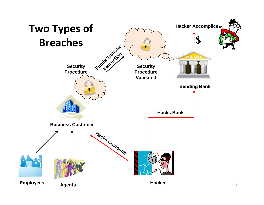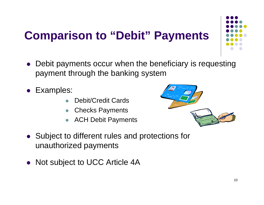## **Comparison to "Debit" Payments**



- $\bullet$  Debit payments occur when the beneficiary is requesting payment through the banking system
- $\bullet$  Examples:
	- $\bullet$ Debit/Credit Cards
	- zChecks Payments
	- zACH Debit Payments



- Subject to different rules and protections for unauthorized payments
- $\bullet$ Not subject to UCC Article 4A